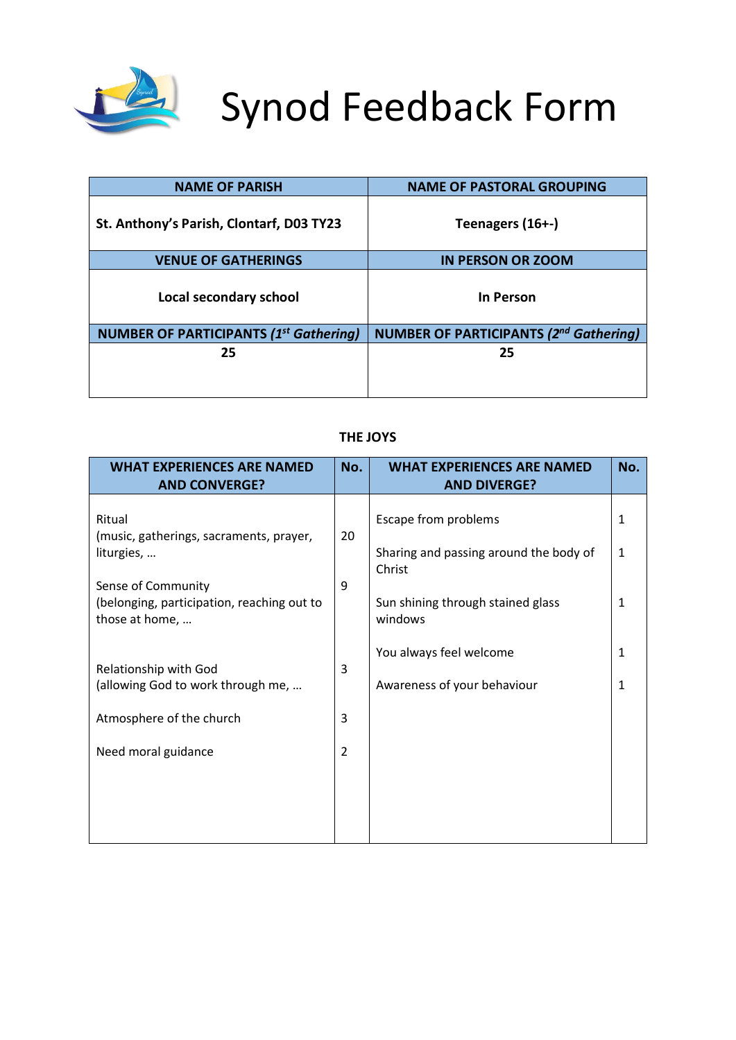

# Synod Feedback Form

| <b>NAME OF PARISH</b>                         | <b>NAME OF PASTORAL GROUPING</b>              |
|-----------------------------------------------|-----------------------------------------------|
| St. Anthony's Parish, Clontarf, D03 TY23      | Teenagers (16+-)                              |
| <b>VENUE OF GATHERINGS</b>                    | <b>IN PERSON OR ZOOM</b>                      |
| Local secondary school                        | In Person                                     |
| <b>NUMBER OF PARTICIPANTS (1st Gathering)</b> | <b>NUMBER OF PARTICIPANTS (2nd Gathering)</b> |
| 25                                            | 25                                            |
|                                               |                                               |

#### **THE JOYS**

| <b>WHAT EXPERIENCES ARE NAMED</b><br><b>AND CONVERGE?</b>                                                                                             | No.                      | <b>WHAT EXPERIENCES ARE NAMED</b><br><b>AND DIVERGE?</b>                                                                 | No.                                          |
|-------------------------------------------------------------------------------------------------------------------------------------------------------|--------------------------|--------------------------------------------------------------------------------------------------------------------------|----------------------------------------------|
| Ritual<br>(music, gatherings, sacraments, prayer,<br>liturgies,<br>Sense of Community<br>(belonging, participation, reaching out to<br>those at home, | 20<br>9                  | Escape from problems<br>Sharing and passing around the body of<br>Christ<br>Sun shining through stained glass<br>windows | $\mathbf{1}$<br>$\mathbf{1}$<br>$\mathbf{1}$ |
| Relationship with God<br>(allowing God to work through me,<br>Atmosphere of the church<br>Need moral guidance                                         | 3<br>3<br>$\overline{2}$ | You always feel welcome<br>Awareness of your behaviour                                                                   | $\mathbf{1}$<br>1                            |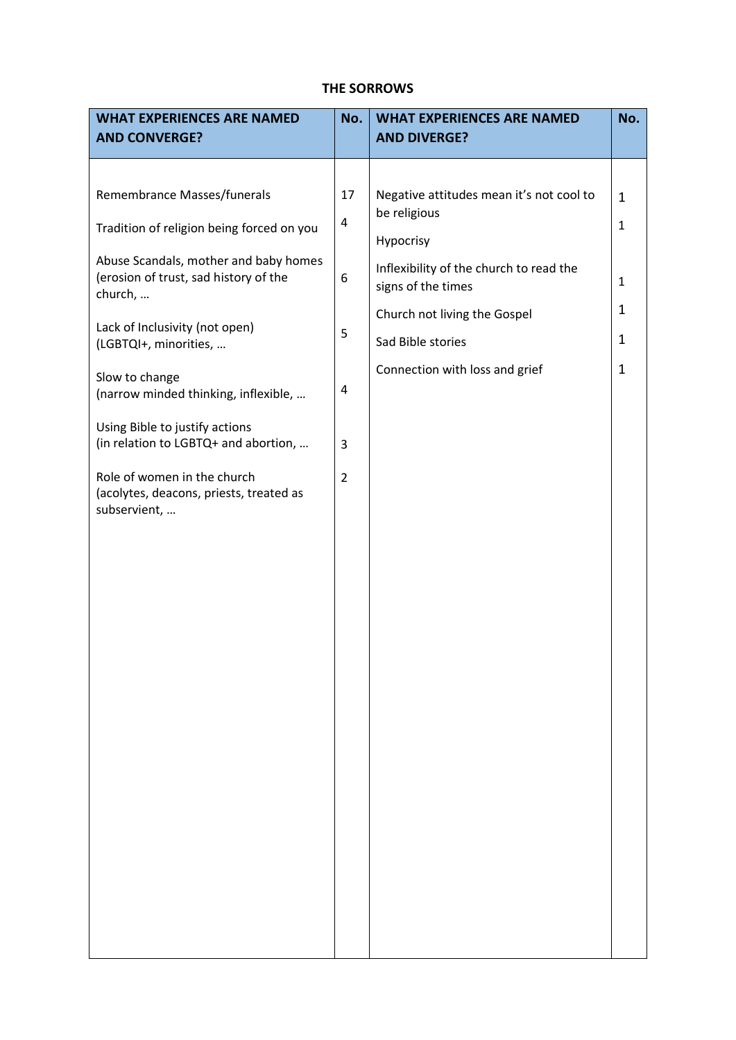## **THE SORROWS**

| <b>WHAT EXPERIENCES ARE NAMED</b><br><b>AND CONVERGE?</b>                                 | No.                     | <b>WHAT EXPERIENCES ARE NAMED</b><br><b>AND DIVERGE?</b>      | No.          |
|-------------------------------------------------------------------------------------------|-------------------------|---------------------------------------------------------------|--------------|
|                                                                                           |                         |                                                               |              |
| Remembrance Masses/funerals                                                               | 17                      | Negative attitudes mean it's not cool to<br>be religious      | $\mathbf{1}$ |
| Tradition of religion being forced on you                                                 | $\overline{\mathbf{4}}$ | Hypocrisy                                                     | $\mathbf{1}$ |
| Abuse Scandals, mother and baby homes<br>(erosion of trust, sad history of the<br>church, | 6                       | Inflexibility of the church to read the<br>signs of the times | $\mathbf{1}$ |
| Lack of Inclusivity (not open)                                                            |                         | Church not living the Gospel                                  | $\mathbf{1}$ |
| (LGBTQI+, minorities,                                                                     | 5                       | Sad Bible stories                                             | $\mathbf{1}$ |
| Slow to change<br>(narrow minded thinking, inflexible,                                    | 4                       | Connection with loss and grief                                | $\mathbf{1}$ |
| Using Bible to justify actions<br>(in relation to LGBTQ+ and abortion,                    | 3                       |                                                               |              |
| Role of women in the church<br>(acolytes, deacons, priests, treated as<br>subservient,    | $\overline{2}$          |                                                               |              |
|                                                                                           |                         |                                                               |              |
|                                                                                           |                         |                                                               |              |
|                                                                                           |                         |                                                               |              |
|                                                                                           |                         |                                                               |              |
|                                                                                           |                         |                                                               |              |
|                                                                                           |                         |                                                               |              |
|                                                                                           |                         |                                                               |              |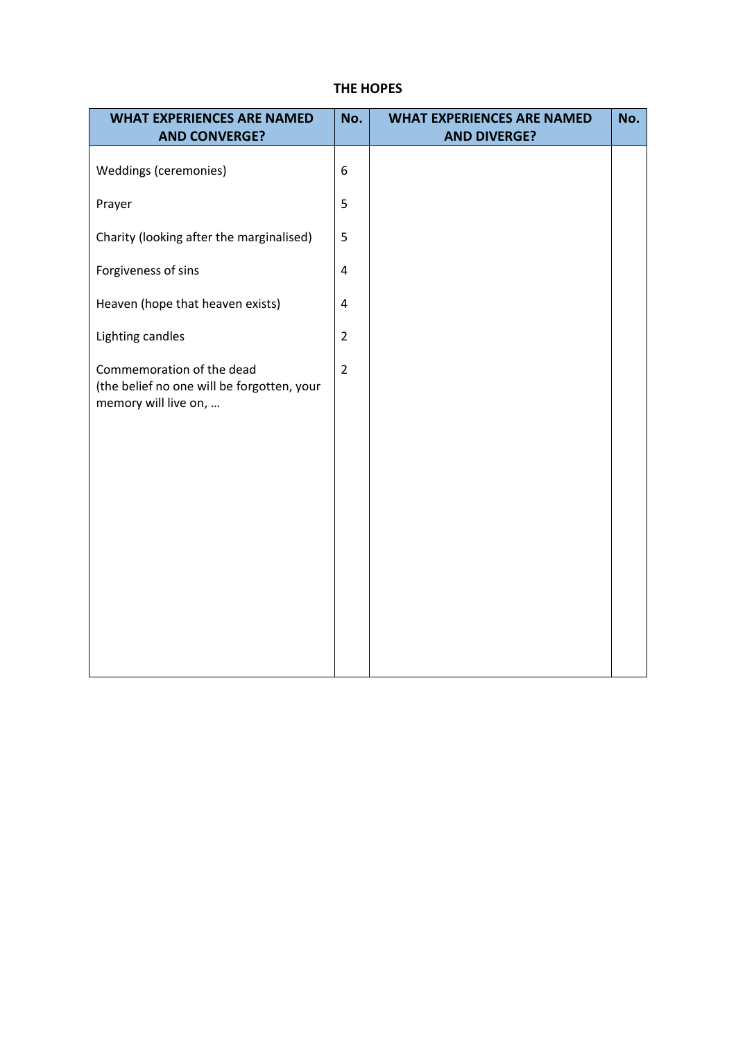## **THE HOPES**

| <b>WHAT EXPERIENCES ARE NAMED</b><br><b>AND CONVERGE?</b>                                       | No.            | <b>WHAT EXPERIENCES ARE NAMED</b><br><b>AND DIVERGE?</b> | No. |
|-------------------------------------------------------------------------------------------------|----------------|----------------------------------------------------------|-----|
| Weddings (ceremonies)                                                                           | 6              |                                                          |     |
| Prayer                                                                                          | 5              |                                                          |     |
| Charity (looking after the marginalised)                                                        | 5              |                                                          |     |
| Forgiveness of sins                                                                             | $\pmb{4}$      |                                                          |     |
| Heaven (hope that heaven exists)                                                                | $\pmb{4}$      |                                                          |     |
| Lighting candles                                                                                | $\overline{2}$ |                                                          |     |
| Commemoration of the dead<br>(the belief no one will be forgotten, your<br>memory will live on, | $\overline{2}$ |                                                          |     |
|                                                                                                 |                |                                                          |     |
|                                                                                                 |                |                                                          |     |
|                                                                                                 |                |                                                          |     |
|                                                                                                 |                |                                                          |     |
|                                                                                                 |                |                                                          |     |
|                                                                                                 |                |                                                          |     |
|                                                                                                 |                |                                                          |     |
|                                                                                                 |                |                                                          |     |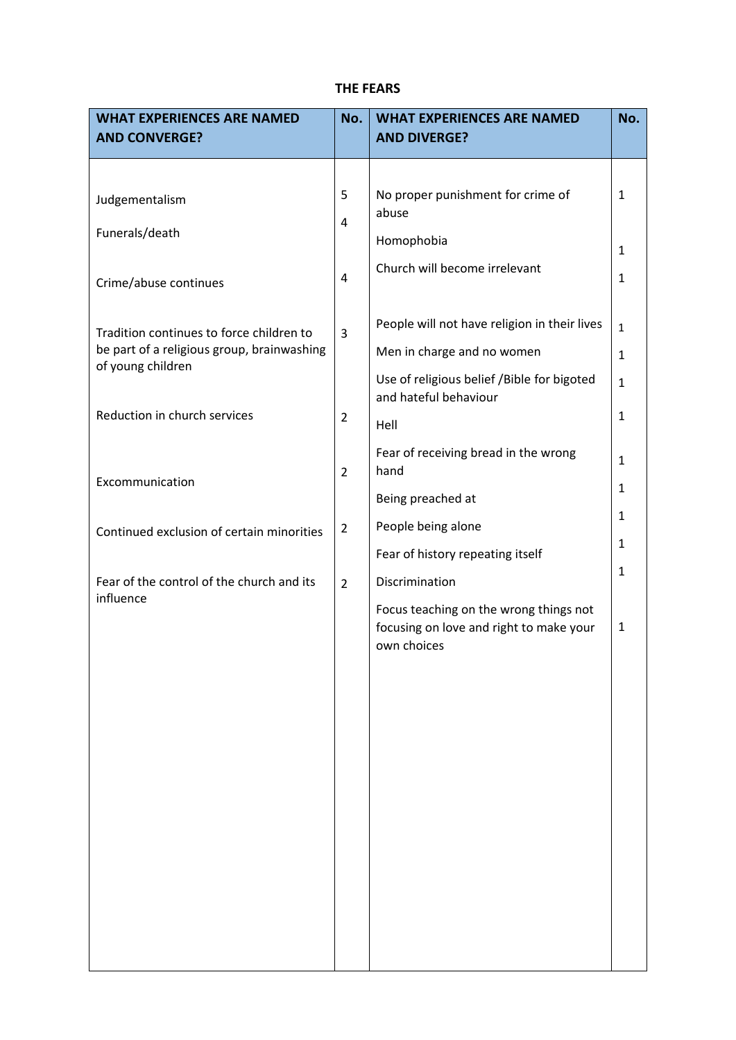## **THE FEARS**

| <b>WHAT EXPERIENCES ARE NAMED</b><br><b>AND CONVERGE?</b>                                                   | No.                 | <b>WHAT EXPERIENCES ARE NAMED</b><br><b>AND DIVERGE?</b>                                                                 | No.                                          |
|-------------------------------------------------------------------------------------------------------------|---------------------|--------------------------------------------------------------------------------------------------------------------------|----------------------------------------------|
| Judgementalism<br>Funerals/death                                                                            | 5<br>$\overline{4}$ | No proper punishment for crime of<br>abuse<br>Homophobia                                                                 | 1                                            |
| Crime/abuse continues                                                                                       | $\overline{4}$      | Church will become irrelevant                                                                                            | $\mathbf{1}$<br>$\mathbf{1}$                 |
| Tradition continues to force children to<br>be part of a religious group, brainwashing<br>of young children | 3                   | People will not have religion in their lives<br>Men in charge and no women<br>Use of religious belief /Bible for bigoted | $\mathbf{1}$<br>$\mathbf{1}$<br>$\mathbf{1}$ |
| Reduction in church services                                                                                | $\overline{2}$      | and hateful behaviour<br>Hell                                                                                            | $\mathbf{1}$                                 |
| Excommunication                                                                                             | $\overline{2}$      | Fear of receiving bread in the wrong<br>hand<br>Being preached at                                                        | $\mathbf{1}$<br>1                            |
| Continued exclusion of certain minorities                                                                   | $\overline{2}$      | People being alone<br>Fear of history repeating itself                                                                   | $\mathbf{1}$<br>1                            |
| Fear of the control of the church and its<br>influence                                                      | $\overline{2}$      | Discrimination<br>Focus teaching on the wrong things not                                                                 | $\mathbf{1}$                                 |
|                                                                                                             |                     | focusing on love and right to make your<br>own choices                                                                   | $\mathbf{1}$                                 |
|                                                                                                             |                     |                                                                                                                          |                                              |
|                                                                                                             |                     |                                                                                                                          |                                              |
|                                                                                                             |                     |                                                                                                                          |                                              |
|                                                                                                             |                     |                                                                                                                          |                                              |
|                                                                                                             |                     |                                                                                                                          |                                              |
|                                                                                                             |                     |                                                                                                                          |                                              |